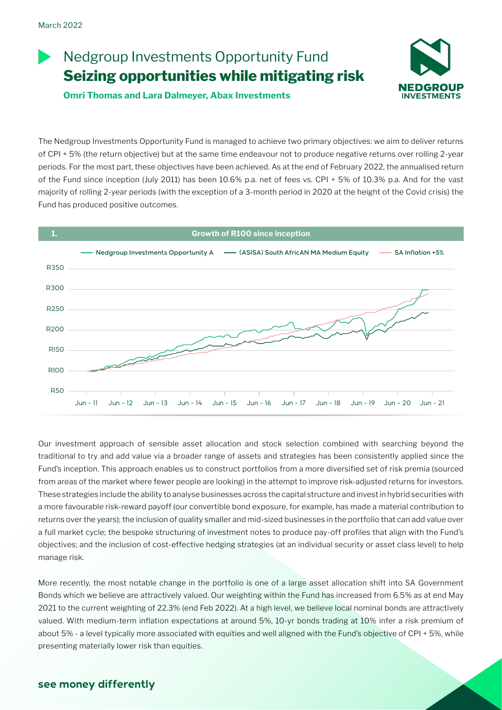# Nedgroup Investments Opportunity Fund **Seizing opportunities while mitigating risk**

**Omri Thomas and Lara Dalmeyer, Abax Investments**



The Nedgroup Investments Opportunity Fund is managed to achieve two primary objectives: we aim to deliver returns of CPI + 5% (the return objective) but at the same time endeavour not to produce negative returns over rolling 2-year periods. For the most part, these objectives have been achieved. As at the end of February 2022, the annualised return of the Fund since inception (July 2011) has been 10.6% p.a. net of fees vs. CPI + 5% of 10.3% p.a. And for the vast majority of rolling 2-year periods (with the exception of a 3-month period in 2020 at the height of the Covid crisis) the Fund has produced positive outcomes.



Our investment approach of sensible asset allocation and stock selection combined with searching beyond the traditional to try and add value via a broader range of assets and strategies has been consistently applied since the Fund's inception. This approach enables us to construct portfolios from a more diversified set of risk premia (sourced from areas of the market where fewer people are looking) in the attempt to improve risk-adjusted returns for investors. These strategies include the ability to analyse businesses across the capital structure and invest in hybrid securities with a more favourable risk-reward payoff (our convertible bond exposure, for example, has made a material contribution to returns over the years); the inclusion of quality smaller and mid-sized businesses in the portfolio that can add value over a full market cycle; the bespoke structuring of investment notes to produce pay-off profiles that align with the Fund's objectives; and the inclusion of cost-effective hedging strategies (at an individual security or asset class level) to help manage risk.

More recently, the most notable change in the portfolio is one of a large asset allocation shift into SA Government Bonds which we believe are attractively valued. Our weighting within the Fund has increased from 6.5% as at end May 2021 to the current weighting of 22.3% (end Feb 2022). At a high level, we believe local nominal bonds are attractively valued. With medium-term inflation expectations at around 5%, 10-yr bonds trading at 10% infer a risk premium of about 5% - a level typically more associated with equities and well aligned with the Fund's objective of CPI + 5%, while presenting materially lower risk than equities.

## **see money differently**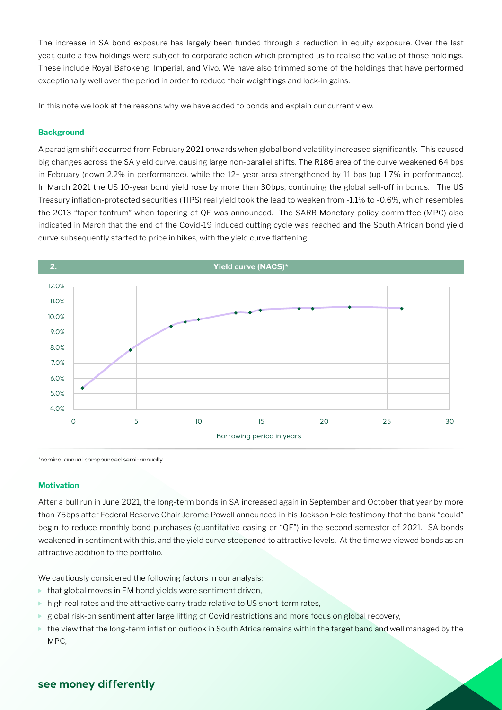The increase in SA bond exposure has largely been funded through a reduction in equity exposure. Over the last year, quite a few holdings were subject to corporate action which prompted us to realise the value of those holdings. These include Royal Bafokeng, Imperial, and Vivo. We have also trimmed some of the holdings that have performed exceptionally well over the period in order to reduce their weightings and lock-in gains.

In this note we look at the reasons why we have added to bonds and explain our current view.

### **Background**

A paradigm shift occurred from February 2021 onwards when global bond volatility increased significantly. This caused big changes across the SA yield curve, causing large non-parallel shifts. The R186 area of the curve weakened 64 bps in February (down 2.2% in performance), while the 12+ year area strengthened by 11 bps (up 1.7% in performance). In March 2021 the US 10-year bond yield rose by more than 30bps, continuing the global sell-off in bonds. The US Treasury inflation-protected securities (TIPS) real yield took the lead to weaken from -1.1% to -0.6%, which resembles the 2013 "taper tantrum" when tapering of QE was announced. The SARB Monetary policy committee (MPC) also indicated in March that the end of the Covid-19 induced cutting cycle was reached and the South African bond yield curve subsequently started to price in hikes, with the yield curve flattening.



\*nominal annual compounded semi-annually

#### **Motivation**

After a bull run in June 2021, the long-term bonds in SA increased again in September and October that year by more than 75bps after Federal Reserve Chair Jerome Powell announced in his Jackson Hole testimony that the bank "could" begin to reduce monthly bond purchases (quantitative easing or "QE") in the second semester of 2021. SA bonds weakened in sentiment with this, and the yield curve steepened to attractive levels. At the time we viewed bonds as an attractive addition to the portfolio.

We cautiously considered the following factors in our analysis:

- $\blacktriangleright$  that global moves in EM bond yields were sentiment driven,
- $\blacktriangleright$  high real rates and the attractive carry trade relative to US short-term rates,
- $\triangleright$  global risk-on sentiment after large lifting of Covid restrictions and more focus on global recovery,
- $\blacktriangleright$  the view that the long-term inflation outlook in South Africa remains within the target band and well managed by the MPC,

## **see money differently**